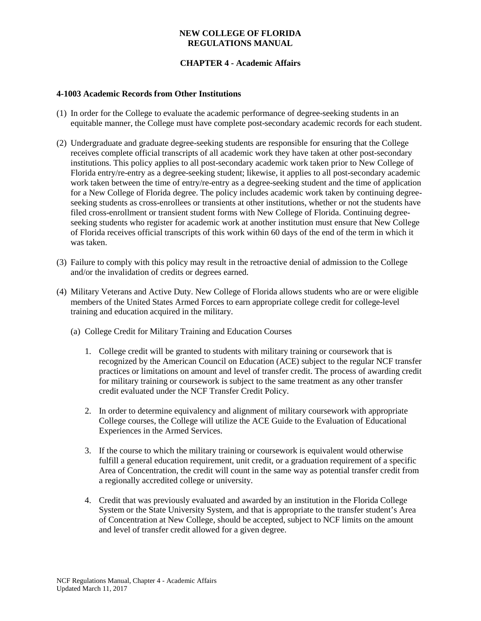### **NEW COLLEGE OF FLORIDA REGULATIONS MANUAL**

# **CHAPTER 4 - Academic Affairs**

#### **4-1003 Academic Records from Other Institutions**

- (1) In order for the College to evaluate the academic performance of degree-seeking students in an equitable manner, the College must have complete post-secondary academic records for each student.
- (2) Undergraduate and graduate degree-seeking students are responsible for ensuring that the College receives complete official transcripts of all academic work they have taken at other post-secondary institutions. This policy applies to all post-secondary academic work taken prior to New College of Florida entry/re-entry as a degree-seeking student; likewise, it applies to all post-secondary academic work taken between the time of entry/re-entry as a degree-seeking student and the time of application for a New College of Florida degree. The policy includes academic work taken by continuing degreeseeking students as cross-enrollees or transients at other institutions, whether or not the students have filed cross-enrollment or transient student forms with New College of Florida. Continuing degreeseeking students who register for academic work at another institution must ensure that New College of Florida receives official transcripts of this work within 60 days of the end of the term in which it was taken.
- (3) Failure to comply with this policy may result in the retroactive denial of admission to the College and/or the invalidation of credits or degrees earned.
- (4) Military Veterans and Active Duty. New College of Florida allows students who are or were eligible members of the United States Armed Forces to earn appropriate college credit for college-level training and education acquired in the military.
	- (a) College Credit for Military Training and Education Courses
		- 1. College credit will be granted to students with military training or coursework that is recognized by the American Council on Education (ACE) subject to the regular NCF transfer practices or limitations on amount and level of transfer credit. The process of awarding credit for military training or coursework is subject to the same treatment as any other transfer credit evaluated under the NCF Transfer Credit Policy.
		- 2. In order to determine equivalency and alignment of military coursework with appropriate College courses, the College will utilize the ACE Guide to the Evaluation of Educational Experiences in the Armed Services.
		- 3. If the course to which the military training or coursework is equivalent would otherwise fulfill a general education requirement, unit credit, or a graduation requirement of a specific Area of Concentration, the credit will count in the same way as potential transfer credit from a regionally accredited college or university.
		- 4. Credit that was previously evaluated and awarded by an institution in the Florida College System or the State University System, and that is appropriate to the transfer student's Area of Concentration at New College, should be accepted, subject to NCF limits on the amount and level of transfer credit allowed for a given degree.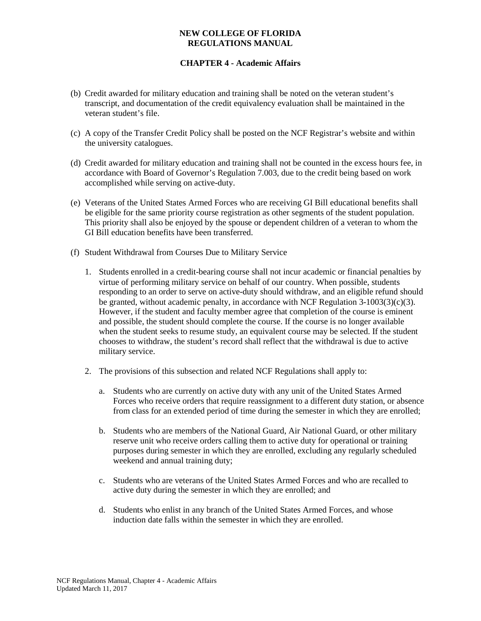### **NEW COLLEGE OF FLORIDA REGULATIONS MANUAL**

# **CHAPTER 4 - Academic Affairs**

- (b) Credit awarded for military education and training shall be noted on the veteran student's transcript, and documentation of the credit equivalency evaluation shall be maintained in the veteran student's file.
- (c) A copy of the Transfer Credit Policy shall be posted on the NCF Registrar's website and within the university catalogues.
- (d) Credit awarded for military education and training shall not be counted in the excess hours fee, in accordance with Board of Governor's Regulation 7.003, due to the credit being based on work accomplished while serving on active-duty.
- (e) Veterans of the United States Armed Forces who are receiving GI Bill educational benefits shall be eligible for the same priority course registration as other segments of the student population. This priority shall also be enjoyed by the spouse or dependent children of a veteran to whom the GI Bill education benefits have been transferred.
- (f) Student Withdrawal from Courses Due to Military Service
	- 1. Students enrolled in a credit-bearing course shall not incur academic or financial penalties by virtue of performing military service on behalf of our country. When possible, students responding to an order to serve on active-duty should withdraw, and an eligible refund should be granted, without academic penalty, in accordance with NCF Regulation  $3-1003(3)(c)(3)$ . However, if the student and faculty member agree that completion of the course is eminent and possible, the student should complete the course. If the course is no longer available when the student seeks to resume study, an equivalent course may be selected. If the student chooses to withdraw, the student's record shall reflect that the withdrawal is due to active military service.
	- 2. The provisions of this subsection and related NCF Regulations shall apply to:
		- a. Students who are currently on active duty with any unit of the United States Armed Forces who receive orders that require reassignment to a different duty station, or absence from class for an extended period of time during the semester in which they are enrolled;
		- b. Students who are members of the National Guard, Air National Guard, or other military reserve unit who receive orders calling them to active duty for operational or training purposes during semester in which they are enrolled, excluding any regularly scheduled weekend and annual training duty;
		- c. Students who are veterans of the United States Armed Forces and who are recalled to active duty during the semester in which they are enrolled; and
		- d. Students who enlist in any branch of the United States Armed Forces, and whose induction date falls within the semester in which they are enrolled.